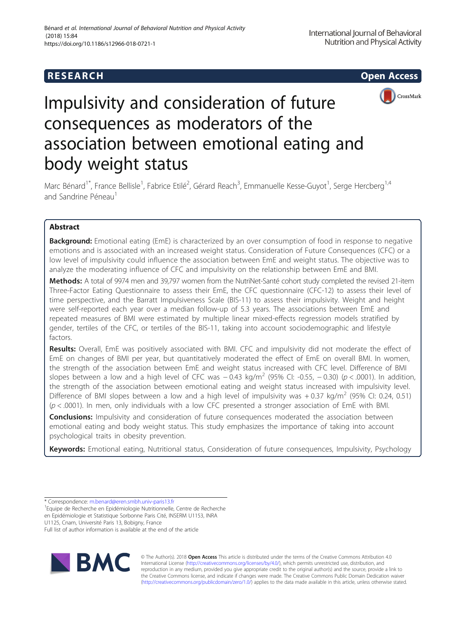# **RESEARCH CHEAR CHEAR CHEAR CHEAR CHEAR CHEAR CHEAR CHEAR CHEAR CHEAR CHEAR CHEAR CHEAR CHEAR CHEAR CHEAR CHEAR**



# Impulsivity and consideration of future consequences as moderators of the association between emotional eating and body weight status

Marc Bénard<sup>1\*</sup>, France Bellisle<sup>1</sup>, Fabrice Etilé<sup>2</sup>, Gérard Reach<sup>3</sup>, Emmanuelle Kesse-Guyot<sup>1</sup>, Serge Hercberg<sup>1,4</sup> and Sandrine Péneau<sup>1</sup>

# Abstract

**Background:** Emotional eating (EmE) is characterized by an over consumption of food in response to negative emotions and is associated with an increased weight status. Consideration of Future Consequences (CFC) or a low level of impulsivity could influence the association between EmE and weight status. The objective was to analyze the moderating influence of CFC and impulsivity on the relationship between EmE and BMI.

Methods: A total of 9974 men and 39,797 women from the NutriNet-Santé cohort study completed the revised 21-item Three-Factor Eating Questionnaire to assess their EmE, the CFC questionnaire (CFC-12) to assess their level of time perspective, and the Barratt Impulsiveness Scale (BIS-11) to assess their impulsivity. Weight and height were self-reported each year over a median follow-up of 5.3 years. The associations between EmE and repeated measures of BMI were estimated by multiple linear mixed-effects regression models stratified by gender, tertiles of the CFC, or tertiles of the BIS-11, taking into account sociodemographic and lifestyle factors.

Results: Overall, EmE was positively associated with BMI. CFC and impulsivity did not moderate the effect of EmE on changes of BMI per year, but quantitatively moderated the effect of EmE on overall BMI. In women, the strength of the association between EmE and weight status increased with CFC level. Difference of BMI slopes between a low and a high level of CFC was  $-0.43$  kg/m<sup>2</sup> (95% CI: -0.55,  $-0.30$ ) (p < .0001). In addition, the strength of the association between emotional eating and weight status increased with impulsivity level. Difference of BMI slopes between a low and a high level of impulsivity was  $+0.37 \text{ kg/m}^2$  (95% CI: 0.24, 0.51)  $(p < .0001)$ . In men, only individuals with a low CFC presented a stronger association of EmE with BMI.

**Conclusions:** Impulsivity and consideration of future consequences moderated the association between emotional eating and body weight status. This study emphasizes the importance of taking into account psychological traits in obesity prevention.

Keywords: Emotional eating, Nutritional status, Consideration of future consequences, Impulsivity, Psychology

\* Correspondence: [m.benard@eren.smbh.univ-paris13.fr](mailto:m.benard@eren.smbh.univ-paris13.fr) <sup>1</sup>

U1125, Cnam, Université Paris 13, Bobigny, France

Full list of author information is available at the end of the article



© The Author(s). 2018 Open Access This article is distributed under the terms of the Creative Commons Attribution 4.0 International License [\(http://creativecommons.org/licenses/by/4.0/](http://creativecommons.org/licenses/by/4.0/)), which permits unrestricted use, distribution, and reproduction in any medium, provided you give appropriate credit to the original author(s) and the source, provide a link to the Creative Commons license, and indicate if changes were made. The Creative Commons Public Domain Dedication waiver [\(http://creativecommons.org/publicdomain/zero/1.0/](http://creativecommons.org/publicdomain/zero/1.0/)) applies to the data made available in this article, unless otherwise stated.

<sup>&</sup>lt;sup>1</sup>Equipe de Recherche en Epidémiologie Nutritionnelle, Centre de Recherche en Epidémiologie et Statistique Sorbonne Paris Cité, INSERM U1153, INRA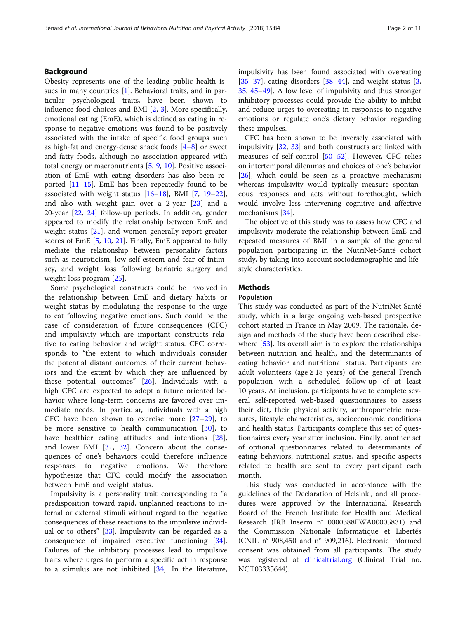# Background

Obesity represents one of the leading public health issues in many countries [\[1](#page-8-0)]. Behavioral traits, and in particular psychological traits, have been shown to influence food choices and BMI [[2,](#page-8-0) [3](#page-8-0)]. More specifically, emotional eating (EmE), which is defined as eating in response to negative emotions was found to be positively associated with the intake of specific food groups such as high-fat and energy-dense snack foods  $[4-8]$  $[4-8]$  $[4-8]$  $[4-8]$  $[4-8]$  or sweet and fatty foods, although no association appeared with total energy or macronutrients [\[5](#page-8-0), [9](#page-9-0), [10\]](#page-9-0). Positive association of EmE with eating disorders has also been reported [\[11](#page-9-0)–[15\]](#page-9-0). EmE has been repeatedly found to be associated with weight status  $[16–18]$  $[16–18]$  $[16–18]$ , BMI  $[7, 19–22]$  $[7, 19–22]$  $[7, 19–22]$  $[7, 19–22]$  $[7, 19–22]$  $[7, 19–22]$ , and also with weight gain over a 2-year [[23](#page-9-0)] and a 20-year [[22](#page-9-0), [24](#page-9-0)] follow-up periods. In addition, gender appeared to modify the relationship between EmE and weight status [\[21\]](#page-9-0), and women generally report greater scores of EmE [\[5](#page-8-0), [10](#page-9-0), [21](#page-9-0)]. Finally, EmE appeared to fully mediate the relationship between personality factors such as neuroticism, low self-esteem and fear of intimacy, and weight loss following bariatric surgery and weight-loss program [\[25](#page-9-0)].

Some psychological constructs could be involved in the relationship between EmE and dietary habits or weight status by modulating the response to the urge to eat following negative emotions. Such could be the case of consideration of future consequences (CFC) and impulsivity which are important constructs relative to eating behavior and weight status. CFC corresponds to "the extent to which individuals consider the potential distant outcomes of their current behaviors and the extent by which they are influenced by these potential outcomes" [\[26](#page-9-0)]. Individuals with a high CFC are expected to adopt a future oriented behavior where long-term concerns are favored over immediate needs. In particular, individuals with a high CFC have been shown to exercise more [\[27](#page-9-0)–[29](#page-9-0)], to be more sensitive to health communication [[30\]](#page-9-0), to have healthier eating attitudes and intentions [\[28](#page-9-0)], and lower BMI [\[31](#page-9-0), [32](#page-9-0)]. Concern about the consequences of one's behaviors could therefore influence responses to negative emotions. We therefore hypothesize that CFC could modify the association between EmE and weight status.

Impulsivity is a personality trait corresponding to "a predisposition toward rapid, unplanned reactions to internal or external stimuli without regard to the negative consequences of these reactions to the impulsive individual or to others" [\[33\]](#page-9-0). Impulsivity can be regarded as a consequence of impaired executive functioning [\[34](#page-9-0)]. Failures of the inhibitory processes lead to impulsive traits where urges to perform a specific act in response to a stimulus are not inhibited  $[34]$  $[34]$  $[34]$ . In the literature, impulsivity has been found associated with overeating [[35](#page-9-0)–[37](#page-9-0)], eating disorders  $[38-44]$  $[38-44]$  $[38-44]$  $[38-44]$  $[38-44]$ , and weight status [\[3](#page-8-0), [35,](#page-9-0) [45](#page-9-0)–[49\]](#page-9-0). A low level of impulsivity and thus stronger inhibitory processes could provide the ability to inhibit and reduce urges to overeating in responses to negative emotions or regulate one's dietary behavior regarding these impulses.

CFC has been shown to be inversely associated with impulsivity [\[32](#page-9-0), [33\]](#page-9-0) and both constructs are linked with measures of self-control [\[50](#page-9-0)–[52\]](#page-9-0). However, CFC relies on intertemporal dilemmas and choices of one's behavior [[26\]](#page-9-0), which could be seen as a proactive mechanism; whereas impulsivity would typically measure spontaneous responses and acts without forethought, which would involve less intervening cognitive and affective mechanisms [\[34](#page-9-0)].

The objective of this study was to assess how CFC and impulsivity moderate the relationship between EmE and repeated measures of BMI in a sample of the general population participating in the NutriNet-Santé cohort study, by taking into account sociodemographic and lifestyle characteristics.

# **Methods**

# Population

This study was conducted as part of the NutriNet-Santé study, which is a large ongoing web-based prospective cohort started in France in May 2009. The rationale, design and methods of the study have been described elsewhere [[53\]](#page-9-0). Its overall aim is to explore the relationships between nutrition and health, and the determinants of eating behavior and nutritional status. Participants are adult volunteers (age  $\geq$  18 years) of the general French population with a scheduled follow-up of at least 10 years. At inclusion, participants have to complete several self-reported web-based questionnaires to assess their diet, their physical activity, anthropometric measures, lifestyle characteristics, socioeconomic conditions and health status. Participants complete this set of questionnaires every year after inclusion. Finally, another set of optional questionnaires related to determinants of eating behaviors, nutritional status, and specific aspects related to health are sent to every participant each month.

This study was conducted in accordance with the guidelines of the Declaration of Helsinki, and all procedures were approved by the International Research Board of the French Institute for Health and Medical Research (IRB Inserm n° 0000388FWA00005831) and the Commission Nationale Informatique et Libertés (CNIL n° 908,450 and n° 909,216). Electronic informed consent was obtained from all participants. The study was registered at [clinicaltrial.org](http://clinicaltrial.org) (Clinical Trial no. NCT03335644).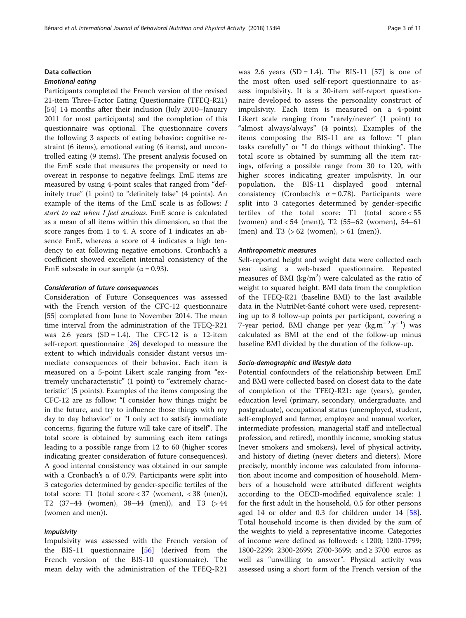# Data collection

# Emotional eating

Participants completed the French version of the revised 21-item Three-Factor Eating Questionnaire (TFEQ-R21) [[54\]](#page-9-0) 14 months after their inclusion (July 2010–January 2011 for most participants) and the completion of this questionnaire was optional. The questionnaire covers the following 3 aspects of eating behavior: cognitive restraint (6 items), emotional eating (6 items), and uncontrolled eating (9 items). The present analysis focused on the EmE scale that measures the propensity or need to overeat in response to negative feelings. EmE items are measured by using 4-point scales that ranged from "definitely true" (1 point) to "definitely false" (4 points). An example of the items of the EmE scale is as follows: I start to eat when I feel anxious. EmE score is calculated as a mean of all items within this dimension, so that the score ranges from 1 to 4. A score of 1 indicates an absence EmE, whereas a score of 4 indicates a high tendency to eat following negative emotions. Cronbach's a coefficient showed excellent internal consistency of the EmE subscale in our sample ( $\alpha$  = 0.93).

#### Consideration of future consequences

Consideration of Future Consequences was assessed with the French version of the CFC-12 questionnaire [[55\]](#page-9-0) completed from June to November 2014. The mean time interval from the administration of the TFEQ-R21 was 2.6 years  $(SD = 1.4)$ . The CFC-12 is a 12-item self-report questionnaire [\[26](#page-9-0)] developed to measure the extent to which individuals consider distant versus immediate consequences of their behavior. Each item is measured on a 5-point Likert scale ranging from "extremely uncharacteristic" (1 point) to "extremely characteristic" (5 points). Examples of the items composing the CFC-12 are as follow: "I consider how things might be in the future, and try to influence those things with my day to day behavior" or "I only act to satisfy immediate concerns, figuring the future will take care of itself". The total score is obtained by summing each item ratings leading to a possible range from 12 to 60 (higher scores indicating greater consideration of future consequences). A good internal consistency was obtained in our sample with a Cronbach's  $\alpha$  of 0.79. Participants were split into 3 categories determined by gender-specific tertiles of the total score: T1 (total score < 37 (women), < 38 (men)), T2 (37–44 (women), 38–44 (men)), and T3 (> 44 (women and men)).

#### Impulsivity

Impulsivity was assessed with the French version of the BIS-11 questionnaire [[56](#page-9-0)] (derived from the French version of the BIS-10 questionnaire). The mean delay with the administration of the TFEQ-R21 was 2.6 years  $(SD = 1.4)$ . The BIS-11 [[57\]](#page-9-0) is one of the most often used self-report questionnaire to assess impulsivity. It is a 30-item self-report questionnaire developed to assess the personality construct of impulsivity. Each item is measured on a 4-point Likert scale ranging from "rarely/never" (1 point) to "almost always/always" (4 points). Examples of the items composing the BIS-11 are as follow: "I plan tasks carefully" or "I do things without thinking". The total score is obtained by summing all the item ratings, offering a possible range from 30 to 120, with higher scores indicating greater impulsivity. In our population, the BIS-11 displayed good internal consistency (Cronbach's  $\alpha = 0.78$ ). Participants were split into 3 categories determined by gender-specific tertiles of the total score: T1 (total score < 55 (women) and < 54 (men)), T2 (55–62 (women), 54–61 (men) and T3  $(> 62$  (women),  $> 61$  (men)).

#### Anthropometric measures

Self-reported height and weight data were collected each year using a web-based questionnaire. Repeated measures of BMI ( $\text{kg/m}^2$ ) were calculated as the ratio of weight to squared height. BMI data from the completion of the TFEQ-R21 (baseline BMI) to the last available data in the NutriNet-Santé cohort were used, representing up to 8 follow-up points per participant, covering a 7-year period. BMI change per year (kg.m<sup>-2</sup>.y<sup>-1</sup>) was calculated as BMI at the end of the follow-up minus baseline BMI divided by the duration of the follow-up.

#### Socio-demographic and lifestyle data

Potential confounders of the relationship between EmE and BMI were collected based on closest data to the date of completion of the TFEQ-R21: age (years), gender, education level (primary, secondary, undergraduate, and postgraduate), occupational status (unemployed, student, self-employed and farmer, employee and manual worker, intermediate profession, managerial staff and intellectual profession, and retired), monthly income, smoking status (never smokers and smokers), level of physical activity, and history of dieting (never dieters and dieters). More precisely, monthly income was calculated from information about income and composition of household. Members of a household were attributed different weights according to the OECD-modified equivalence scale: 1 for the first adult in the household, 0.5 for other persons aged 14 or older and 0.3 for children under 14 [\[58](#page-9-0)]. Total household income is then divided by the sum of the weights to yield a representative income. Categories of income were defined as followed: < 1200; 1200-1799; 1800-2299; 2300-2699; 2700-3699; and ≥ 3700 euros as well as "unwilling to answer". Physical activity was assessed using a short form of the French version of the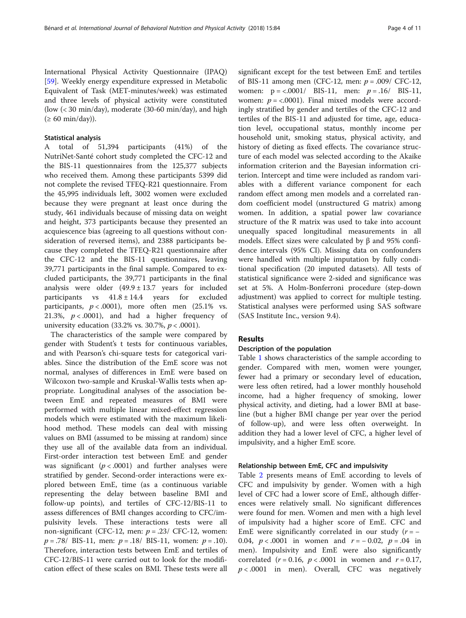International Physical Activity Questionnaire (IPAQ) [[59\]](#page-10-0). Weekly energy expenditure expressed in Metabolic Equivalent of Task (MET-minutes/week) was estimated and three levels of physical activity were constituted (low (< 30 min/day), moderate (30-60 min/day), and high  $(≥ 60 min/day)).$ 

#### Statistical analysis

A total of 51,394 participants (41%) of the NutriNet-Santé cohort study completed the CFC-12 and the BIS-11 questionnaires from the 125,377 subjects who received them. Among these participants 5399 did not complete the revised TFEQ-R21 questionnaire. From the 45,995 individuals left, 3002 women were excluded because they were pregnant at least once during the study, 461 individuals because of missing data on weight and height, 373 participants because they presented an acquiescence bias (agreeing to all questions without consideration of reversed items), and 2388 participants because they completed the TFEQ-R21 questionnaire after the CFC-12 and the BIS-11 questionnaires, leaving 39,771 participants in the final sample. Compared to excluded participants, the 39,771 participants in the final analysis were older  $(49.9 \pm 13.7)$  years for included participants vs  $41.8 \pm 14.4$  years for excluded participants,  $p < .0001$ ), more often men (25.1% vs. 21.3%,  $p < .0001$ ), and had a higher frequency of university education (33.2% vs. 30.7%,  $p < .0001$ ).

The characteristics of the sample were compared by gender with Student's t tests for continuous variables, and with Pearson's chi-square tests for categorical variables. Since the distribution of the EmE score was not normal, analyses of differences in EmE were based on Wilcoxon two-sample and Kruskal-Wallis tests when appropriate. Longitudinal analyses of the association between EmE and repeated measures of BMI were performed with multiple linear mixed-effect regression models which were estimated with the maximum likelihood method. These models can deal with missing values on BMI (assumed to be missing at random) since they use all of the available data from an individual. First-order interaction test between EmE and gender was significant ( $p < .0001$ ) and further analyses were stratified by gender. Second-order interactions were explored between EmE, time (as a continuous variable representing the delay between baseline BMI and follow-up points), and tertiles of CFC-12/BIS-11 to assess differences of BMI changes according to CFC/impulsivity levels. These interactions tests were all non-significant (CFC-12, men:  $p = .23/$  CFC-12, women:  $p = .78/$  BIS-11, men:  $p = .18/$  BIS-11, women:  $p = .10$ ). Therefore, interaction tests between EmE and tertiles of CFC-12/BIS-11 were carried out to look for the modification effect of these scales on BMI. These tests were all significant except for the test between EmE and tertiles of BIS-11 among men (CFC-12, men:  $p = .009$ / CFC-12, women:  $p = <.0001/$  BIS-11, men:  $p = .16/$  BIS-11, women:  $p = < .0001$ ). Final mixed models were accordingly stratified by gender and tertiles of the CFC-12 and tertiles of the BIS-11 and adjusted for time, age, education level, occupational status, monthly income per household unit, smoking status, physical activity, and history of dieting as fixed effects. The covariance structure of each model was selected according to the Akaike information criterion and the Bayesian information criterion. Intercept and time were included as random variables with a different variance component for each random effect among men models and a correlated random coefficient model (unstructured G matrix) among women. In addition, a spatial power law covariance structure of the R matrix was used to take into account unequally spaced longitudinal measurements in all models. Effect sizes were calculated by β and 95% confidence intervals (95% CI). Missing data on confounders were handled with multiple imputation by fully conditional specification (20 imputed datasets). All tests of statistical significance were 2-sided and significance was set at 5%. A Holm-Bonferroni procedure (step-down adjustment) was applied to correct for multiple testing. Statistical analyses were performed using SAS software (SAS Institute Inc., version 9.4).

# Results

# Description of the population

Table [1](#page-4-0) shows characteristics of the sample according to gender. Compared with men, women were younger, fewer had a primary or secondary level of education, were less often retired, had a lower monthly household income, had a higher frequency of smoking, lower physical activity, and dieting, had a lower BMI at baseline (but a higher BMI change per year over the period of follow-up), and were less often overweight. In addition they had a lower level of CFC, a higher level of impulsivity, and a higher EmE score.

#### Relationship between EmE, CFC and impulsivity

Table [2](#page-5-0) presents means of EmE according to levels of CFC and impulsivity by gender. Women with a high level of CFC had a lower score of EmE, although differences were relatively small. No significant differences were found for men. Women and men with a high level of impulsivity had a higher score of EmE. CFC and EmE were significantly correlated in our study  $(r = -$ 0.04,  $p < .0001$  in women and  $r = -0.02$ ,  $p = .04$  in men). Impulsivity and EmE were also significantly correlated ( $r = 0.16$ ,  $p < .0001$  in women and  $r = 0.17$ ,  $p < .0001$  in men). Overall, CFC was negatively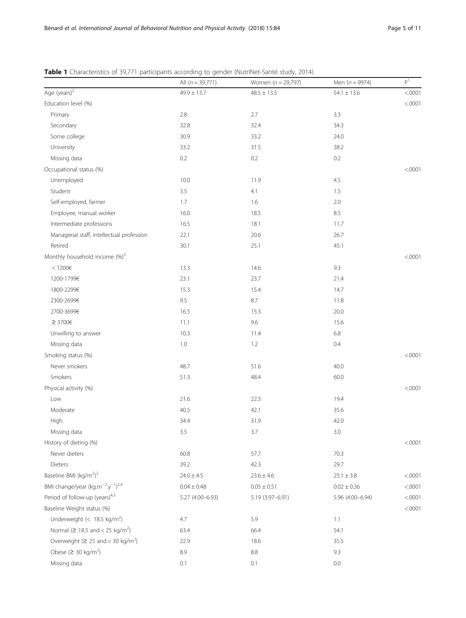# <span id="page-4-0"></span>Table 1 Characteristics of 39,771 participants according to gender (NutriNet-Santé study, 2014)

|                                                                       | All $(n = 39,771)$ | Women $(n = 29,797)$ | Men $(n = 9974)$ | P <sup>1</sup> |
|-----------------------------------------------------------------------|--------------------|----------------------|------------------|----------------|
| Age $(years)^2$                                                       | $49.9 \pm 13.7$    | $48.5 \pm 13.5$      | $54.1 \pm 13.6$  | < .0001        |
| Education level (%)                                                   |                    |                      |                  | < .0001        |
| Primary                                                               | 2.8                | 2.7                  | 3.3              |                |
| Secondary                                                             | 32.8               | 32.4                 | 34.3             |                |
| Some college                                                          | 30.9               | 33.2                 | 24.0             |                |
| University                                                            | 33.2               | 31.5                 | 38.2             |                |
| Missing data                                                          | 0.2                | 0.2                  | $0.2\,$          |                |
| Occupational status (%)                                               |                    |                      |                  | < .0001        |
| Unemployed                                                            | 10.0               | 11.9                 | 4.5              |                |
| Student                                                               | 3.5                | 4.1                  | 1.5              |                |
| Self-employed, farmer                                                 | 1.7                | 1.6                  | 2.0              |                |
| Employee, manual worker                                               | 16.0               | 18.5                 | 8.5              |                |
| Intermediate professions                                              | 16.5               | 18.1                 | 11.7             |                |
| Managerial staff, intellectual profession                             | 22.1               | 20.6                 | 26.7             |                |
| Retired                                                               | 30.1               | 25.1                 | 45.1             |                |
| Monthly household income (%) <sup>3</sup>                             |                    |                      |                  | < .0001        |
| $<1200€$                                                              | 13.3               | 14.6                 | 9.3              |                |
| 1200-1799€                                                            | 23.1               | 23.7                 | 21.4             |                |
| 1800-2299€                                                            | 15.3               | 15.4                 | 14.7             |                |
| 2300-2699€                                                            | 9.5                | 8.7                  | 11.8             |                |
| 2700-3699€                                                            | 16.5               | 15.3                 | 20.0             |                |
| $≥$ 3700€                                                             | 11.1               | 9.6                  | 15.6             |                |
| Unwilling to answer                                                   | 10.3               | 11.4                 | 6.8              |                |
| Missing data                                                          | $1.0\,$            | 1.2                  | 0.4              |                |
| Smoking status (%)                                                    |                    |                      |                  | < .0001        |
| Never smokers                                                         | 48.7               | 51.6                 | 40.0             |                |
| Smokers                                                               | 51.3               | 48.4                 | 60.0             |                |
| Physical activity (%)                                                 |                    |                      |                  | < .0001        |
| Low                                                                   | 21.6               | 22.3                 | 19.4             |                |
| Moderate                                                              | 40.5               | 42.1                 | 35.6             |                |
| High                                                                  | 34.4               | 31.9                 | 42.0             |                |
| Missing data                                                          | 3.5                | 3.7                  | 3.0              |                |
| History of dieting (%)                                                |                    |                      |                  | < .0001        |
| Never dieters                                                         | 60.8               | 57.7                 | 70.3             |                |
| Dieters                                                               | 39.2               | 42.3                 | 29.7             |                |
| Baseline BMI (kg/m <sup>2</sup> ) <sup>2</sup>                        | $24.0 \pm 4.5$     | $23.6 \pm 4.6$       | $25.1 \pm 3.8$   | < .0001        |
| BMI change/year (kg.m <sup>-2</sup> .y <sup>-1</sup> ) <sup>2,4</sup> | $0.04 \pm 0.48$    | $0.05 \pm 0.51$      | $0.02 \pm 0.36$  | < .0001        |
| Period of follow-up (years) <sup>4,5</sup>                            | 5.27 (4.00-6.93)   | 5.19 (3.97-6.91)     | 5.96 (4.00-6.94) | < .0001        |
| Baseline Weight status (%)                                            |                    |                      |                  | < .0001        |
| Underweight (< $18.5 \text{ kg/m}^2$ )                                | 4.7                | 5.9                  | 1.1              |                |
| Normal ( $\geq 18.5$ and < 25 kg/m <sup>2</sup> )                     | 63.4               | 66.4                 | 54.1             |                |
| Overweight ( $\geq 25$ and < 30 kg/m <sup>2</sup> )                   | 22.9               | 18.6                 | 35.5             |                |
| Obese ( $\geq$ 30 kg/m <sup>2</sup> )                                 | 8.9                | $\ \, 8.8$           | 9.3              |                |
| Missing data                                                          | $0.1\,$            | 0.1                  | $0.0\,$          |                |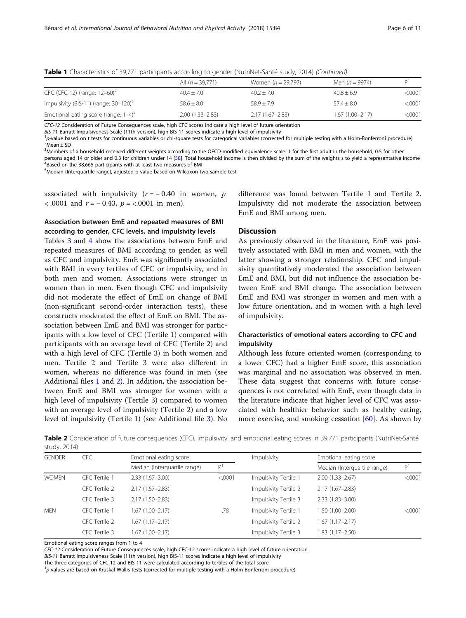<span id="page-5-0"></span>

|  | Table 1 Characteristics of 39,771 participants according to gender (NutriNet-Santé study, 2014) (Continued) |  |
|--|-------------------------------------------------------------------------------------------------------------|--|

|                                                      | All $(n = 39.771)$  | Women $(n = 29,797)$ | Men $(n = 9974)$  | D       |
|------------------------------------------------------|---------------------|----------------------|-------------------|---------|
| CFC (CFC-12) (range: $12-60$ ) <sup>2</sup>          | $40.4 + 7.0$        | $40.2 + 7.0$         | $40.8 + 6.9$      | < .0001 |
| Impulsivity (BIS-11) (range: $30-120$ ) <sup>2</sup> | $58.6 + 8.0$        | $58.9 + 7.9$         | $57.4 + 8.0$      | < 0001  |
| Emotional eating score (range: $1-4$ ) <sup>5</sup>  | $2.00(1.33 - 2.83)$ | $2.17(1.67 - 2.83)$  | $1.67(1.00-2.17)$ | < 0001  |

CFC-12 Consideration of Future Consequences scale, high CFC scores indicate a high level of future orientation

BIS-11 Barratt Impulsiveness Scale (11th version), high BIS-11 scores indicate a high level of impulsivity

<sup>1</sup>p-value based on t tests for continuous variables or chi-square tests for categorical variables (corrected for multiple testing with a Holm-Bonferroni procedure)  $^2$ Mean  $\pm$  SD

<sup>3</sup>Members of a household received different weights according to the OECD-modified equivalence scale: 1 for the first adult in the household, 0.5 for other persons aged 14 or older and 0.3 for children under 14 [[58](#page-9-0)]. Total household income is then divided by the sum of the weights s to yield a representative income  $^{4}$ Based on the 38.665 participants with at least two measures of BMI

<sup>5</sup>Median (Interquartile range), adjusted p-value based on Wilcoxon two-sample test

associated with impulsivity  $(r = -0.40$  in women, p  $\langle 0.0001 \text{ and } r = -0.43, p = 0.0001 \text{ in men.}$ 

# Association between EmE and repeated measures of BMI according to gender, CFC levels, and impulsivity levels

Tables [3](#page-6-0) and [4](#page-6-0) show the associations between EmE and repeated measures of BMI according to gender, as well as CFC and impulsivity. EmE was significantly associated with BMI in every tertiles of CFC or impulsivity, and in both men and women. Associations were stronger in women than in men. Even though CFC and impulsivity did not moderate the effect of EmE on change of BMI (non-significant second-order interaction tests), these constructs moderated the effect of EmE on BMI. The association between EmE and BMI was stronger for participants with a low level of CFC (Tertile 1) compared with participants with an average level of CFC (Tertile 2) and with a high level of CFC (Tertile 3) in both women and men. Tertile 2 and Tertile 3 were also different in women, whereas no difference was found in men (see Additional files [1](#page-8-0) and [2\)](#page-8-0). In addition, the association between EmE and BMI was stronger for women with a high level of impulsivity (Tertile 3) compared to women with an average level of impulsivity (Tertile 2) and a low level of impulsivity (Tertile 1) (see Additional file [3](#page-8-0)). No difference was found between Tertile 1 and Tertile 2. Impulsivity did not moderate the association between EmE and BMI among men.

#### **Discussion**

As previously observed in the literature, EmE was positively associated with BMI in men and women, with the latter showing a stronger relationship. CFC and impulsivity quantitatively moderated the association between EmE and BMI, but did not influence the association between EmE and BMI change. The association between EmE and BMI was stronger in women and men with a low future orientation, and in women with a high level of impulsivity.

# Characteristics of emotional eaters according to CFC and impulsivity

Although less future oriented women (corresponding to a lower CFC) had a higher EmE score, this association was marginal and no association was observed in men. These data suggest that concerns with future consequences is not correlated with EmE, even though data in the literature indicate that higher level of CFC was associated with healthier behavior such as healthy eating, more exercise, and smoking cessation [[60\]](#page-10-0). As shown by

Table 2 Consideration of future consequences (CFC), impulsivity, and emotional eating scores in 39,771 participants (NutriNet-Santé study, 2014)

| <b>GENDER</b> | <b>CFC</b>    | Emotional eating score       |         | Impulsivity           | Emotional eating score       |                |  |
|---------------|---------------|------------------------------|---------|-----------------------|------------------------------|----------------|--|
|               |               | Median (Interguartile range) | $D^1$   |                       | Median (Interguartile range) | P <sup>1</sup> |  |
| <b>WOMEN</b>  | CFC Tertile 1 | $2.33(1.67 - 3.00)$          | < .0001 | Impulsivity Tertile 1 | $2.00(1.33 - 2.67)$          | < .0001        |  |
|               | CFC Tertile 2 | $2.17(1.67 - 2.83)$          |         | Impulsivity Tertile 2 | $2.17(1.67 - 2.83)$          |                |  |
|               | CFC Tertile 3 | 2.17 (1.50-2.83)             |         | Impulsivity Tertile 3 | $2.33(1.83 - 3.00)$          |                |  |
| <b>MEN</b>    | CFC Tertile 1 | 1.67 (1.00-2.17)             | .78     | Impulsivity Tertile 1 | .50 (1.00-2.00)              | < .0001        |  |
|               | CFC Tertile 2 | 1.67 (1.17–2.17)             |         | Impulsivity Tertile 2 | 1.67 (1.17–2.17)             |                |  |
|               | CFC Tertile 3 | 1.67 (1.00–2.17)             |         | Impulsivity Tertile 3 | .83 (1.17–2.50)              |                |  |

Emotional eating score ranges from 1 to 4

CFC-12 Consideration of Future Consequences scale, high CFC-12 scores indicate a high level of future orientation BIS-11 Barratt Impulsiveness Scale (11th version), high BIS-11 scores indicate a high level of impulsivity The three categories of CFC-12 and BIS-11 were calculated according to tertiles of the total score

<sup>1</sup>p-values are based on Kruskal-Wallis tests (corrected for multiple testing with a Holm-Bonferroni procedure)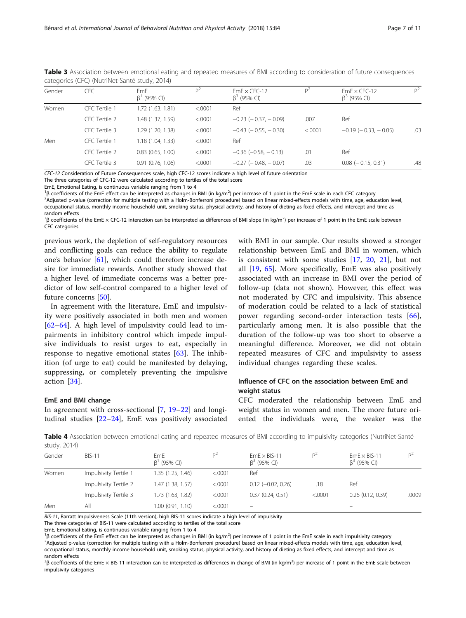| Gender | CFC           | <b>FmF</b><br>$\beta$ <sup>1</sup> (95% CI) | $D^2$   | $EmEx CFC-12$<br>$\beta^3$ (95% CI) | $D^2$  | $EmEx$ CFC-12<br>$\beta^3$ (95% CI) | p <sup>2</sup> |
|--------|---------------|---------------------------------------------|---------|-------------------------------------|--------|-------------------------------------|----------------|
| Women  | CFC Tertile 1 | 1.72 (1.63, 1.81)                           | < .0001 | Ref                                 |        |                                     |                |
|        | CFC Tertile 2 | 1.48 (1.37, 1.59)                           | < .0001 | $-0.23$ ( $-0.37$ , $-0.09$ )       | .007   | Ref                                 |                |
|        | CFC Tertile 3 | 1.29 (1.20, 1.38)                           | < .0001 | $-0.43$ ( $-0.55$ , $-0.30$ )       | < 0001 | $-0.19$ ( $-0.33$ , $-0.05$ )       | .03            |
| Men    | CFC Tertile 1 | 1.18 (1.04, 1.33)                           | < .0001 | Ref                                 |        |                                     |                |
|        | CFC Tertile 2 | $0.83$ $(0.65, 1.00)$                       | < .0001 | $-0.36$ ( $-0.58$ , $-0.13$ )       | .01    | Ref                                 |                |
|        | CFC Tertile 3 | $0.91$ $(0.76, 1.06)$                       | < .0001 | $-0.27$ ( $-0.48$ , $-0.07$ )       | .03    | $0.08$ ( $-0.15$ , 0.31)            | .48            |

<span id="page-6-0"></span>Table 3 Association between emotional eating and repeated measures of BMI according to consideration of future consequences categories (CFC) (NutriNet-Santé study, 2014)

CFC-12 Consideration of Future Consequences scale, high CFC-12 scores indicate a high level of future orientation

The three categories of CFC-12 were calculated according to tertiles of the total score

EmE, Emotional Eating, is continuous variable ranging from 1 to 4

<sup>1</sup>β coefficients of the EmE effect can be interpreted as changes in BMI (in kg/m<sup>2</sup>) per increase of 1 point in the EmE scale in each CFC category  $\frac{2}{3}$  and  $\frac{1}{3}$  and  $\frac{1}{3}$  and  $\frac{1}{3}$  and  $\frac{1}{3}$  and  $\$ 

<sup>2</sup>Adjusted p-value (correction for multiple testing with a Holm-Bonferroni procedure) based on linear mixed-effects models with time, age, education level, occupational status, monthly income household unit, smoking status, physical activity, and history of dieting as fixed effects, and intercept and time as

random effects  ${}^{3}$ ß coefficients of the EmE × CFC-12 interaction can be interpreted as differences of BMI slope (in kg/m<sup>2</sup>) per increase of 1 point in the EmE scale between

CFC categories

previous work, the depletion of self-regulatory resources and conflicting goals can reduce the ability to regulate one's behavior [\[61](#page-10-0)], which could therefore increase desire for immediate rewards. Another study showed that a higher level of immediate concerns was a better predictor of low self-control compared to a higher level of future concerns [\[50](#page-9-0)].

In agreement with the literature, EmE and impulsivity were positively associated in both men and women  $[62-64]$  $[62-64]$  $[62-64]$  $[62-64]$ . A high level of impulsivity could lead to impairments in inhibitory control which impede impulsive individuals to resist urges to eat, especially in response to negative emotional states [\[63](#page-10-0)]. The inhibition (of urge to eat) could be manifested by delaying, suppressing, or completely preventing the impulsive action [\[34](#page-9-0)].

#### EmE and BMI change

In agreement with cross-sectional [[7](#page-8-0), [19](#page-9-0)–[22\]](#page-9-0) and longitudinal studies [\[22](#page-9-0)–[24\]](#page-9-0), EmE was positively associated

with BMI in our sample. Our results showed a stronger relationship between EmE and BMI in women, which is consistent with some studies [[17,](#page-9-0) [20](#page-9-0), [21](#page-9-0)], but not all [[19,](#page-9-0) [65](#page-10-0)]. More specifically, EmE was also positively associated with an increase in BMI over the period of follow-up (data not shown). However, this effect was not moderated by CFC and impulsivity. This absence of moderation could be related to a lack of statistical power regarding second-order interaction tests [\[66](#page-10-0)], particularly among men. It is also possible that the duration of the follow-up was too short to observe a meaningful difference. Moreover, we did not obtain repeated measures of CFC and impulsivity to assess individual changes regarding these scales.

# Influence of CFC on the association between EmE and weight status

CFC moderated the relationship between EmE and weight status in women and men. The more future oriented the individuals were, the weaker was the

Table 4 Association between emotional eating and repeated measures of BMI according to impulsivity categories (NutriNet-Santé study, 2014)

| Gender | <b>BIS-11</b>         | FmF<br>$\beta^1$ (95% CI) | D <sup>2</sup> | $EmE \times BIS-11$<br>$\beta^3$ (95% CI) | D <sup>2</sup> | $EmE \times BIS-11$<br>$\beta^3$ (95% CI) | $D^2$ |
|--------|-----------------------|---------------------------|----------------|-------------------------------------------|----------------|-------------------------------------------|-------|
| Women  | Impulsivity Tertile 1 | 1.35(1.25, 1.46)          | < 0001         | Ref                                       |                |                                           |       |
|        | Impulsivity Tertile 2 | 1.47 (1.38, 1.57)         | < 0001         | $0.12$ (-0.02, 0.26)                      | .18            | Ref                                       |       |
|        | Impulsivity Tertile 3 | 1.73 (1.63, 1.82)         | < 0001         | 0.37(0.24, 0.51)                          | < 0001         | $0.26$ $(0.12, 0.39)$                     | .0009 |
| Men    | All                   | 1.00(0.91, 1.10)          | < 0.0001       |                                           |                |                                           |       |

BIS-11, Barratt Impulsiveness Scale (11th version), high BIS-11 scores indicate a high level of impulsivity

The three categories of BIS-11 were calculated according to tertiles of the total score

EmE, Emotional Eating, is continuous variable ranging from 1 to 4

<sup>1</sup>β coefficients of the EmE effect can be interpreted as changes in BMI (in kg/m<sup>2</sup>) per increase of 1 point in the EmE scale in each impulsivity category  $\frac{2}{3}$  and  $\frac{1}{3}$  and  $\frac{1}{3}$  and  $\frac{1}{3}$  and  $\frac{1}{3}$ <sup>2</sup>Adjusted p-value (correction for multiple testing with a Holm-Bonferroni procedure) based on linear mixed-effects models with time, age, education level, occupational status, monthly income household unit, smoking status, physical activity, and history of dieting as fixed effects, and intercept and time as random effects

 ${}^{3}$ β coefficients of the EmE × BIS-11 interaction can be interpreted as differences in change of BMI (in kg/m<sup>2</sup>) per increase of 1 point in the EmE scale between impulsivity categories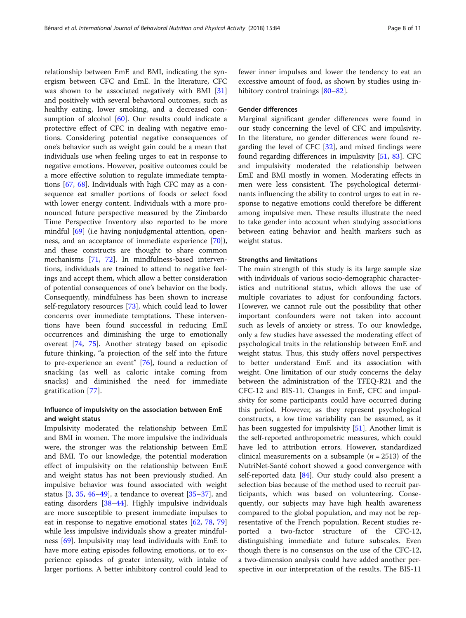relationship between EmE and BMI, indicating the synergism between CFC and EmE. In the literature, CFC was shown to be associated negatively with BMI [[31](#page-9-0)] and positively with several behavioral outcomes, such as healthy eating, lower smoking, and a decreased consumption of alcohol  $[60]$  $[60]$ . Our results could indicate a protective effect of CFC in dealing with negative emotions. Considering potential negative consequences of one's behavior such as weight gain could be a mean that individuals use when feeling urges to eat in response to negative emotions. However, positive outcomes could be a more effective solution to regulate immediate temptations [[67](#page-10-0), [68\]](#page-10-0). Individuals with high CFC may as a consequence eat smaller portions of foods or select food with lower energy content. Individuals with a more pronounced future perspective measured by the Zimbardo Time Perspective Inventory also reported to be more mindful [[69](#page-10-0)] (i.e having nonjudgmental attention, openness, and an acceptance of immediate experience [\[70](#page-10-0)]), and these constructs are thought to share common mechanisms [[71](#page-10-0), [72](#page-10-0)]. In mindfulness-based interventions, individuals are trained to attend to negative feelings and accept them, which allow a better consideration of potential consequences of one's behavior on the body. Consequently, mindfulness has been shown to increase self-regulatory resources [[73\]](#page-10-0), which could lead to lower concerns over immediate temptations. These interventions have been found successful in reducing EmE occurrences and diminishing the urge to emotionally overeat [\[74](#page-10-0), [75](#page-10-0)]. Another strategy based on episodic future thinking, "a projection of the self into the future to pre-experience an event" [[76\]](#page-10-0), found a reduction of snacking (as well as caloric intake coming from snacks) and diminished the need for immediate gratification [\[77\]](#page-10-0).

# Influence of impulsivity on the association between EmE and weight status

Impulsivity moderated the relationship between EmE and BMI in women. The more impulsive the individuals were, the stronger was the relationship between EmE and BMI. To our knowledge, the potential moderation effect of impulsivity on the relationship between EmE and weight status has not been previously studied. An impulsive behavior was found associated with weight status  $[3, 35, 46-49]$  $[3, 35, 46-49]$  $[3, 35, 46-49]$  $[3, 35, 46-49]$  $[3, 35, 46-49]$  $[3, 35, 46-49]$  $[3, 35, 46-49]$  $[3, 35, 46-49]$ , a tendance to overeat  $[35-37]$  $[35-37]$  $[35-37]$ , and eating disorders [[38](#page-9-0)–[44\]](#page-9-0). Highly impulsive individuals are more susceptible to present immediate impulses to eat in response to negative emotional states [\[62](#page-10-0), [78,](#page-10-0) [79](#page-10-0)] while less impulsive individuals show a greater mindfulness [[69\]](#page-10-0). Impulsivity may lead individuals with EmE to have more eating episodes following emotions, or to experience episodes of greater intensity, with intake of larger portions. A better inhibitory control could lead to

fewer inner impulses and lower the tendency to eat an excessive amount of food, as shown by studies using in-hibitory control trainings [[80](#page-10-0)–[82](#page-10-0)].

#### Gender differences

Marginal significant gender differences were found in our study concerning the level of CFC and impulsivity. In the literature, no gender differences were found regarding the level of CFC [[32\]](#page-9-0), and mixed findings were found regarding differences in impulsivity [[51,](#page-9-0) [83](#page-10-0)]. CFC and impulsivity moderated the relationship between EmE and BMI mostly in women. Moderating effects in men were less consistent. The psychological determinants influencing the ability to control urges to eat in response to negative emotions could therefore be different among impulsive men. These results illustrate the need to take gender into account when studying associations between eating behavior and health markers such as weight status.

#### Strengths and limitations

The main strength of this study is its large sample size with individuals of various socio-demographic characteristics and nutritional status, which allows the use of multiple covariates to adjust for confounding factors. However, we cannot rule out the possibility that other important confounders were not taken into account such as levels of anxiety or stress. To our knowledge, only a few studies have assessed the moderating effect of psychological traits in the relationship between EmE and weight status. Thus, this study offers novel perspectives to better understand EmE and its association with weight. One limitation of our study concerns the delay between the administration of the TFEQ-R21 and the CFC-12 and BIS-11. Changes in EmE, CFC and impulsivity for some participants could have occurred during this period. However, as they represent psychological constructs, a low time variability can be assumed, as it has been suggested for impulsivity [[51\]](#page-9-0). Another limit is the self-reported anthropometric measures, which could have led to attribution errors. However, standardized clinical measurements on a subsample  $(n = 2513)$  of the NutriNet-Santé cohort showed a good convergence with self-reported data  $[84]$  $[84]$ . Our study could also present a selection bias because of the method used to recruit participants, which was based on volunteering. Consequently, our subjects may have high health awareness compared to the global population, and may not be representative of the French population. Recent studies reported a two-factor structure of the CFC-12, distinguishing immediate and future subscales. Even though there is no consensus on the use of the CFC-12, a two-dimension analysis could have added another perspective in our interpretation of the results. The BIS-11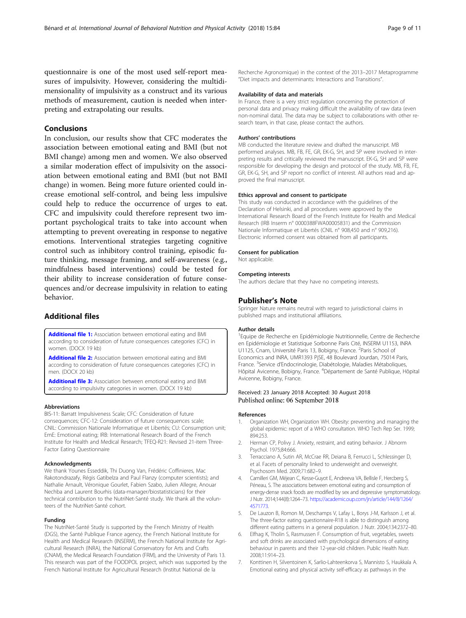<span id="page-8-0"></span>questionnaire is one of the most used self-report measures of impulsivity. However, considering the multidimensionality of impulsivity as a construct and its various methods of measurement, caution is needed when interpreting and extrapolating our results.

# **Conclusions**

In conclusion, our results show that CFC moderates the association between emotional eating and BMI (but not BMI change) among men and women. We also observed a similar moderation effect of impulsivity on the association between emotional eating and BMI (but not BMI change) in women. Being more future oriented could increase emotional self-control, and being less impulsive could help to reduce the occurrence of urges to eat. CFC and impulsivity could therefore represent two important psychological traits to take into account when attempting to prevent overeating in response to negative emotions. Interventional strategies targeting cognitive control such as inhibitory control training, episodic future thinking, message framing, and self-awareness (e.g., mindfulness based interventions) could be tested for their ability to increase consideration of future consequences and/or decrease impulsivity in relation to eating behavior.

# Additional files

[Additional file 1:](https://doi.org/10.1186/s12966-018-0721-1) Association between emotional eating and BMI according to consideration of future consequences categories (CFC) in women. (DOCX 19 kb)

[Additional file 2:](https://doi.org/10.1186/s12966-018-0721-1) Association between emotional eating and BMI according to consideration of future consequences categories (CFC) in men. (DOCX 20 kb)

[Additional file 3:](https://doi.org/10.1186/s12966-018-0721-1) Association between emotional eating and BMI according to impulsivity categories in women. (DOCX 19 kb)

#### Abbreviations

BIS-11: Barratt Impulsiveness Scale; CFC: Consideration of future consequences; CFC-12: Consideration of future consequences scale; CNIL: Commission Nationale Informatique et Libertés; CU: Consumption unit; EmE: Emotional eating; IRB: International Research Board of the French Institute for Health and Medical Research; TFEQ-R21: Revised 21-item Three-Factor Eating Questionnaire

#### Acknowledgments

We thank Younes Esseddik, Thi Duong Van, Frédéric Coffinieres, Mac Rakotondrazafy, Régis Gatibelza and Paul Flanzy (computer scientists); and Nathalie Arnault, Véronique Gourlet, Fabien Szabo, Julien Allegre, Anouar Nechba and Laurent Bourhis (data-manager/biostatisticians) for their technical contribution to the NutriNet-Santé study. We thank all the volunteers of the NutriNet-Santé cohort.

#### Funding

The NutriNet-Santé Study is supported by the French Ministry of Health (DGS), the Santé Publique France agency, the French National Institute for Health and Medical Research (INSERM), the French National Institute for Agricultural Research (INRA), the National Conservatory for Arts and Crafts (CNAM), the Medical Research Foundation (FRM), and the University of Paris 13. This research was part of the FOODPOL project, which was supported by the French National Institute for Agricultural Research (Institut National de la

Recherche Agronomique) in the context of the 2013–2017 Metaprogramme "Diet impacts and determinants: Interactions and Transitions".

#### Availability of data and materials

In France, there is a very strict regulation concerning the protection of personal data and privacy making difficult the availability of raw data (even non-nominal data). The data may be subject to collaborations with other research team, in that case, please contact the authors.

#### Authors' contributions

MB conducted the literature review and drafted the manuscript. MB performed analyses. MB, FB, FE, GR, EK-G, SH, and SP were involved in interpreting results and critically reviewed the manuscript. EK-G, SH and SP were responsible for developing the design and protocol of the study. MB, FB, FE, GR, EK-G, SH, and SP report no conflict of interest. All authors read and approved the final manuscript.

#### Ethics approval and consent to participate

This study was conducted in accordance with the guidelines of the Declaration of Helsinki, and all procedures were approved by the International Research Board of the French Institute for Health and Medical Research (IRB Inserm n° 0000388FWA00005831) and the Commission Nationale Informatique et Libertés (CNIL n° 908,450 and n° 909,216). Electronic informed consent was obtained from all participants.

#### Consent for publication

Not applicable.

#### Competing interests

The authors declare that they have no competing interests.

#### Publisher's Note

Springer Nature remains neutral with regard to jurisdictional claims in published maps and institutional affiliations.

#### Author details

<sup>1</sup> Equipe de Recherche en Epidémiologie Nutritionnelle, Centre de Recherche en Epidémiologie et Statistique Sorbonne Paris Cité, INSERM U1153, INRA U1125, Cnam, Université Paris 13, Bobigny, France. <sup>2</sup>Paris School of Economics and INRA, UMR1393 PjSE, 48 Boulevard Jourdan, 75014 Paris, France. <sup>3</sup>Service d'Endocrinologie, Diabétologie, Maladies Métaboliques, Hôpital Avicenne, Bobigny, France. <sup>4</sup>Département de Santé Publique, Hôpital Avicenne, Bobigny, France.

# Received: 23 January 2018 Accepted: 30 August 2018

#### References

- 1. Organization WH, Organization WH. Obesity: preventing and managing the global epidemic: report of a WHO consultation. WHO Tech Rep Ser. 1999; 894:253.
- 2. Herman CP, Polivy J. Anxiety, restraint, and eating behavior. J Abnorm Psychol. 1975;84:666.
- 3. Terracciano A, Sutin AR, McCrae RR, Deiana B, Ferrucci L, Schlessinger D, et al. Facets of personality linked to underweight and overweight. Psychosom Med. 2009;71:682–9.
- 4. Camilleri GM, Méjean C, Kesse-Guyot E, Andreeva VA, Bellisle F, Hercberg S, Péneau, S. The associations between emotional eating and consumption of energy-dense snack foods are modified by sex and depressive symptomatology. J Nutr. 2014;144(8):1264–73. [https://academic.oup.com/jn/article/144/8/1264/](https://academic.oup.com/jn/article/144/8/1264/4571773) [4571773.](https://academic.oup.com/jn/article/144/8/1264/4571773)
- 5. De Lauzon B, Romon M, Deschamps V, Lafay L, Borys J-M, Karlsson J, et al. The three-factor eating questionnaire-R18 is able to distinguish among different eating patterns in a general population. J Nutr. 2004;134:2372–80.
- 6. Elfhag K, Tholin S, Rasmussen F. Consumption of fruit, vegetables, sweets and soft drinks are associated with psychological dimensions of eating behaviour in parents and their 12-year-old children. Public Health Nutr. 2008;11:914–23.
- 7. Konttinen H, Silventoinen K, Sarlio-Lahteenkorva S, Mannisto S, Haukkala A. Emotional eating and physical activity self-efficacy as pathways in the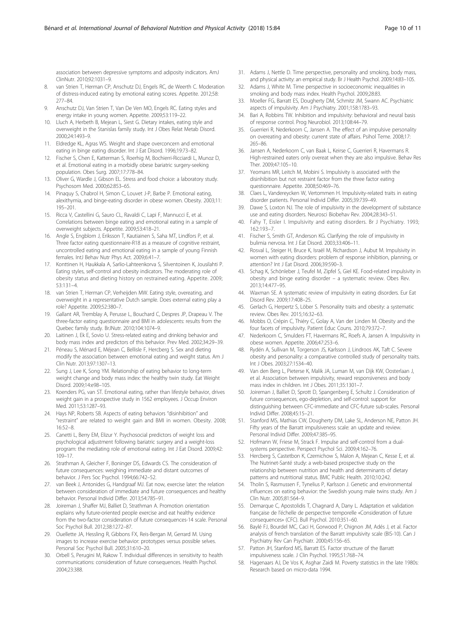<span id="page-9-0"></span>association between depressive symptoms and adiposity indicators. AmJ ClinNutr. 2010;92:1031–9.

- 8. van Strien T, Herman CP, Anschutz DJ, Engels RC, de Weerth C. Moderation of distress-induced eating by emotional eating scores. Appetite. 2012;58: 277–84.
- 9. Anschutz DJ, Van Strien T, Van De Ven MO, Engels RC. Eating styles and energy intake in young women. Appetite. 2009;53:119–22.
- 10. Lluch A, Herbeth B, Mejean L, Siest G. Dietary intakes, eating style and overweight in the Stanislas family study. Int J Obes Relat Metab Disord. 2000;24:1493–9.
- 11. Eldredge KL, Agras WS. Weight and shape overconcern and emotional eating in binge eating disorder. Int J Eat Disord. 1996;19:73–82.
- 12. Fischer S, Chen E, Katterman S, Roerhig M, Bochierri-Ricciardi L, Munoz D, et al. Emotional eating in a morbidly obese bariatric surgery-seeking population. Obes Surg. 2007;17:778–84.
- 13. Oliver G, Wardle J, Gibson EL. Stress and food choice: a laboratory study. Psychosom Med. 2000;62:853–65.
- 14. Pinaquy S, Chabrol H, Simon C, Louvet J-P, Barbe P. Emotional eating, alexithymia, and binge-eating disorder in obese women. Obesity. 2003;11: 195–201.
- 15. Ricca V, Castellini G, Sauro CL, Ravaldi C, Lapi F, Mannucci E, et al. Correlations between binge eating and emotional eating in a sample of overweight subjects. Appetite. 2009;53:418–21.
- 16. Angle S, Engblom J, Eriksson T, Kautiainen S, Saha MT, Lindfors P, et al. Three factor eating questionnaire-R18 as a measure of cognitive restraint, uncontrolled eating and emotional eating in a sample of young Finnish females. IntJ Behav Nutr Phys Act. 2009;6:41–7.
- 17. Konttinen H, Haukkala A, Sarlio-Lahteenkorva S, Silventoinen K, Jousilahti P. Eating styles, self-control and obesity indicators. The moderating role of obesity status and dieting history on restrained eating. Appetite. 2009; 53:131–4.
- 18. van Strien T, Herman CP, Verheijden MW. Eating style, overeating, and overweight in a representative Dutch sample. Does external eating play a role? Appetite. 2009;52:380–7.
- 19. Gallant AR, Tremblay A, Perusse L, Bouchard C, Despres JP, Drapeau V. The three-factor eating questionnaire and BMI in adolescents: results from the Quebec family study. BrJNutr. 2010;104:1074–9.
- 20. Laitinen J, Ek E, Sovio U. Stress-related eating and drinking behavior and body mass index and predictors of this behavior. Prev Med. 2002;34:29–39.
- 21. Péneau S, Ménard E, Méjean C, Bellisle F, Hercberg S. Sex and dieting modify the association between emotional eating and weight status. Am J Clin Nutr. 2013;97:1307–13.
- 22. Sung J, Lee K, Song YM. Relationship of eating behavior to long-term weight change and body mass index: the healthy twin study. Eat Weight Disord. 2009;14:e98–105.
- 23. Koenders PG, van ST. Emotional eating, rather than lifestyle behavior, drives weight gain in a prospective study in 1562 employees. J Occup Environ Med. 2011;53:1287–93.
- 24. Hays NP, Roberts SB. Aspects of eating behaviors "disinhibition" and "restraint" are related to weight gain and BMI in women. Obesity. 2008; 16:52–8.
- 25. Canetti L, Berry EM, Elizur Y. Psychosocial predictors of weight loss and psychological adjustment following bariatric surgery and a weight-loss program: the mediating role of emotional eating. Int J Eat Disord. 2009;42: 109–17.
- 26. Strathman A, Gleicher F, Boninger DS, Edwards CS. The consideration of future consequences: weighing immediate and distant outcomes of behavior. J Pers Soc Psychol. 1994;66:742–52.
- 27. van Beek J, Antonides G, Handgraaf MJ. Eat now, exercise later: the relation between consideration of immediate and future consequences and healthy behavior. Personal Individ Differ. 2013;54:785–91.
- 28. Joireman J, Shaffer MJ, Balliet D, Strathman A. Promotion orientation explains why future-oriented people exercise and eat healthy evidence from the two-factor consideration of future consequences-14 scale. Personal Soc Psychol Bull. 2012;38:1272–87.
- 29. Ouellette JA, Hessling R, Gibbons FX, Reis-Bergan M, Gerrard M. Using images to increase exercise behavior: prototypes versus possible selves. Personal Soc Psychol Bull. 2005;31:610–20.
- 30. Orbell S, Perugini M, Rakow T. Individual differences in sensitivity to health communications: consideration of future consequences. Health Psychol. 2004;23:388.
- 31. Adams J, Nettle D. Time perspective, personality and smoking, body mass, and physical activity: an empirical study. Br J Health Psychol. 2009;14:83–105.
- 32. Adams J, White M. Time perspective in socioeconomic inequalities in smoking and body mass index. Health Psychol. 2009;28:83.
- 33. Moeller FG, Barratt ES, Dougherty DM, Schmitz JM, Swann AC. Psychiatric aspects of impulsivity. Am J Psychiatry. 2001;158:1783–93.
- 34. Bari A, Robbins TW. Inhibition and impulsivity: behavioral and neural basis of response control. Prog Neurobiol. 2013;108:44–79.
- 35. Guerrieri R, Nederkoorn C, Jansen A. The effect of an impulsive personality on overeating and obesity: current state of affairs. Psihol Teme. 2008;17: 265–86.
- 36. Jansen A, Nederkoorn C, van Baak L, Keirse C, Guerrieri R, Havermans R. High-restrained eaters only overeat when they are also impulsive. Behav Res Ther. 2009;47:105–10.
- 37. Yeomans MR, Leitch M, Mobini S. Impulsivity is associated with the disinhibition but not restraint factor from the three factor eating questionnaire. Appetite. 2008;50:469–76.
- 38. Claes L, Vandereycken W, Vertommen H. Impulsivity-related traits in eating disorder patients. Personal Individ Differ. 2005;39:739–49.
- 39. Dawe S, Loxton NJ. The role of impulsivity in the development of substance use and eating disorders. Neurosci Biobehav Rev. 2004;28:343–51.
- 40. Fahy T, Eisler I. Impulsivity and eating disorders. Br J Psychiatry. 1993; 162:193–7.
- 41. Fischer S, Smith GT, Anderson KG. Clarifying the role of impulsivity in bulimia nervosa. Int J Eat Disord. 2003;33:406–11.
- 42. Rosval L, Steiger H, Bruce K, Israël M, Richardson J, Aubut M. Impulsivity in women with eating disorders: problem of response inhibition, planning, or attention? Int J Eat Disord. 2006;39:590–3.
- 43. Schag K, Schönleber J, Teufel M, Zipfel S, Giel KE. Food-related impulsivity in obesity and binge eating disorder – a systematic review. Obes Rev. 2013;14:477–95.
- 44. Waxman SE. A systematic review of impulsivity in eating disorders. Eur Eat Disord Rev. 2009;17:408–25.
- 45. Gerlach G, Herpertz S, Löber S. Personality traits and obesity: a systematic review. Obes Rev. 2015;16:32–63.
- 46. Mobbs O, Crépin C, Thiéry C, Golay A, Van der Linden M. Obesity and the four facets of impulsivity. Patient Educ Couns. 2010;79:372–7.
- 47. Nederkoorn C, Smulders FT, Havermans RC, Roefs A, Jansen A. Impulsivity in obese women. Appetite. 2006;47:253–6.
- 48. Rydén A, Sullivan M, Torgerson JS, Karlsson J, Lindroos AK, Taft C. Severe obesity and personality: a comparative controlled study of personality traits. Int J Obes. 2003;27:1534–40.
- 49. Van den Berg L, Pieterse K, Malik JA, Luman M, van Dijk KW, Oosterlaan J, et al. Association between impulsivity, reward responsiveness and body mass index in children. Int J Obes. 2011;35:1301–7.
- 50. Joireman J, Balliet D, Sprott D, Spangenberg E, Schultz J. Consideration of future consequences, ego-depletion, and self-control: support for distinguishing between CFC-immediate and CFC-future sub-scales. Personal Individ Differ. 2008;45:15–21.
- 51. Stanford MS, Mathias CW, Dougherty DM, Lake SL, Anderson NE, Patton JH. Fifty years of the Barratt impulsiveness scale: an update and review. Personal Individ Differ. 2009;47:385–95.
- 52. Hofmann W, Friese M, Strack F. Impulse and self-control from a dualsystems perspective. Perspect Psychol Sci. 2009;4:162–76.
- 53. Hercberg S, Castetbon K, Czernichow S, Malon A, Mejean C, Kesse E, et al. The Nutrinet-Santé study: a web-based prospective study on the relationship between nutrition and health and determinants of dietary patterns and nutritional status. BMC Public Health. 2010;10:242.
- 54. Tholin S, Rasmussen F, Tynelius P, Karlsson J. Genetic and environmental influences on eating behavior: the Swedish young male twins study. Am J Clin Nutr. 2005;81:564–9.
- 55. Demarque C, Apostolidis T, Chagnard A, Dany L. Adaptation et validation française de l'échelle de perspective temporelle «Consideration of future consequences» (CFC). Bull Psychol. 2010:351–60.
- Baylé FJ, Bourdel MC, Caci H, Gorwood P, Chignon JM, Adés J, et al. Factor analysis of french translation of the Barratt impulsivity scale (BIS-10). Can J Psychiatry Rev Can Psychiatr. 2000;45:156–65.
- 57. Patton JH, Stanford MS, Barratt ES. Factor structure of the Barratt impulsiveness scale. J Clin Psychol. 1995;51:768–74.
- 58. Hagenaars AJ, De Vos K, Asghar Zaidi M. Poverty statistics in the late 1980s: Research based on micro-data 1994.